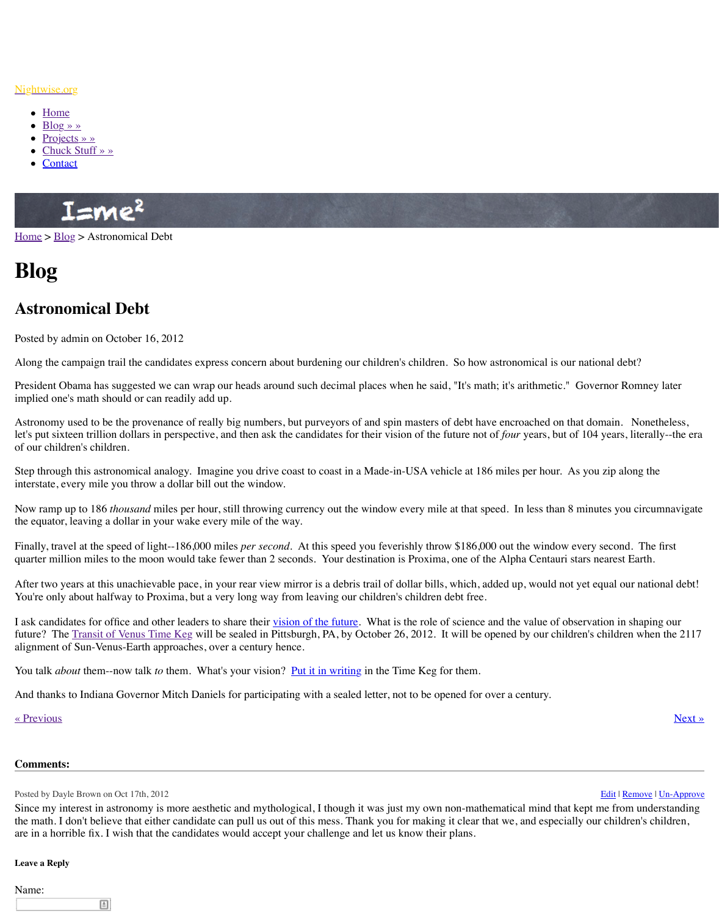Along the campaign trail the candidates express concern about burdening our children's children. So how astronomical is our national debt?

President Obama has suggested we can wrap our heads around such decimal places when he implied one's math should or can readily add up.

Astronomy used to be the provenance of really big numbers, but purveyors of and spin masters of that domain. Nonetheless,  $\frac{1}{\sqrt{2\pi}}$ let's put sixteen trillion dollars in perspective, and then ask the candidates for their vision of [of our children's children.](http://www.nightwise.org/)

Step t[hrough](http://www.nightwise.org/) this astronomical analogy. Imagine you drive coast to coast in a Made-in-USA inters[tate, every](http://www.nightwise.org/blog/) mile you throw a dollar bill out the window.

Now [ramp up to 186](http://www.nightwise.org/chuck-stuff/) *thousand* miles per hour, still throwing currency out the window every the eq[uator, le](http://www.nightwise.org/contact/)aving a dollar in your wake every mile of the way.

Finally, travel at the speed of light--186,000 miles *per second*. At this speed you feverishly quarter million miles to the moon would take fewer than 2 seconds. Your destination is Prox

After two years at this unachievable pace, in your rear view mirror is a debris trail of dollar l [You're](http://www.nightwise.org/) o[nly ab](http://www.nightwise.org/blog/)out halfway to Proxima, but a very long way from leaving our children's child

I ask candidates for office and other leaders to share their vision of the future. What is the role future? The Transit of Venus Time Keg will be sealed in Pittsburgh, PA, by October 26, 201 alignment of Sun-Venus-Earth approaches, over a century hence.

You talk *about* them--now talk *to* them. What's your vision? <u>Put it in writing</u> in the Time K

And thanks to Indiana Governor Mitch Daniels for participating with a sealed letter, not to b

## « Previous » Next » Next » Next » Next » Next » Next » Next » Next » Next » Next » Next » Next » Next » Next » Next » Next » Next » Next » Next » Next » Next » Next » Next » Next » Next » Next » Next » Next » Next » Next »

## **Comments:**

Posted by Dayle Brown on Oct 17th, 2012

Since my interest in astronomy is more aesthetic and mythological, I though it was just my ounthe math. I don't believe that either candidate can pull us out of this mess. Thank you for ma are in a horrible fix. I wish that the candidates would accept your challenge and let us know

## **Leave a Reply**

Name: